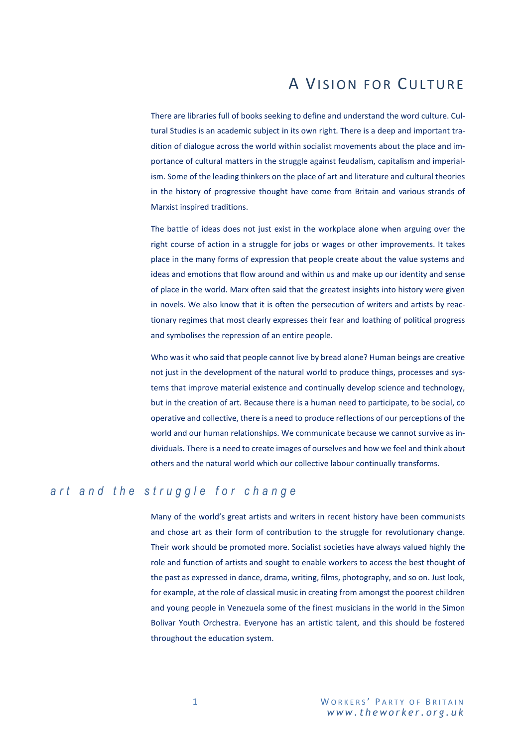## A VISION FOR CULTURE

There are libraries full of books seeking to define and understand the word culture. Cultural Studies is an academic subject in its own right. There is a deep and important tradition of dialogue across the world within socialist movements about the place and importance of cultural matters in the struggle against feudalism, capitalism and imperialism. Some of the leading thinkers on the place of art and literature and cultural theories in the history of progressive thought have come from Britain and various strands of Marxist inspired traditions.

The battle of ideas does not just exist in the workplace alone when arguing over the right course of action in a struggle for jobs or wages or other improvements. It takes place in the many forms of expression that people create about the value systems and ideas and emotions that flow around and within us and make up our identity and sense of place in the world. Marx often said that the greatest insights into history were given in novels. We also know that it is often the persecution of writers and artists by reactionary regimes that most clearly expresses their fear and loathing of political progress and symbolises the repression of an entire people.

Who was it who said that people cannot live by bread alone? Human beings are creative not just in the development of the natural world to produce things, processes and systems that improve material existence and continually develop science and technology, but in the creation of art. Because there is a human need to participate, to be social, co operative and collective, there is a need to produce reflections of our perceptions of the world and our human relationships. We communicate because we cannot survive as individuals. There is a need to create images of ourselves and how we feel and think about others and the natural world which our collective labour continually transforms.

## *a r t a n d t h e s t r u g g l e f o r c h a n g e*

Many of the world's great artists and writers in recent history have been communists and chose art as their form of contribution to the struggle for revolutionary change. Their work should be promoted more. Socialist societies have always valued highly the role and function of artists and sought to enable workers to access the best thought of the past as expressed in dance, drama, writing, films, photography, and so on. Just look, for example, at the role of classical music in creating from amongst the poorest children and young people in Venezuela some of the finest musicians in the world in the Simon Bolivar Youth Orchestra. Everyone has an artistic talent, and this should be fostered throughout the education system.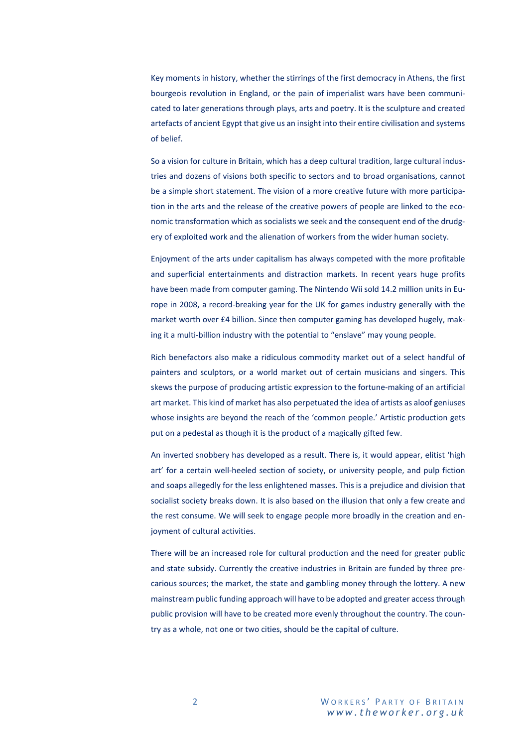Key moments in history, whether the stirrings of the first democracy in Athens, the first bourgeois revolution in England, or the pain of imperialist wars have been communicated to later generations through plays, arts and poetry. It is the sculpture and created artefacts of ancient Egypt that give us an insight into their entire civilisation and systems of belief.

So a vision for culture in Britain, which has a deep cultural tradition, large cultural industries and dozens of visions both specific to sectors and to broad organisations, cannot be a simple short statement. The vision of a more creative future with more participation in the arts and the release of the creative powers of people are linked to the economic transformation which as socialists we seek and the consequent end of the drudgery of exploited work and the alienation of workers from the wider human society.

Enjoyment of the arts under capitalism has always competed with the more profitable and superficial entertainments and distraction markets. In recent years huge profits have been made from computer gaming. The Nintendo Wii sold 14.2 million units in Europe in 2008, a record-breaking year for the UK for games industry generally with the market worth over £4 billion. Since then computer gaming has developed hugely, making it a multi-billion industry with the potential to "enslave" may young people.

Rich benefactors also make a ridiculous commodity market out of a select handful of painters and sculptors, or a world market out of certain musicians and singers. This skews the purpose of producing artistic expression to the fortune-making of an artificial art market. This kind of market has also perpetuated the idea of artists as aloof geniuses whose insights are beyond the reach of the 'common people.' Artistic production gets put on a pedestal as though it is the product of a magically gifted few.

An inverted snobbery has developed as a result. There is, it would appear, elitist 'high art' for a certain well-heeled section of society, or university people, and pulp fiction and soaps allegedly for the less enlightened masses. This is a prejudice and division that socialist society breaks down. It is also based on the illusion that only a few create and the rest consume. We will seek to engage people more broadly in the creation and enjoyment of cultural activities.

There will be an increased role for cultural production and the need for greater public and state subsidy. Currently the creative industries in Britain are funded by three precarious sources; the market, the state and gambling money through the lottery. A new mainstream public funding approach will have to be adopted and greater accessthrough public provision will have to be created more evenly throughout the country. The country as a whole, not one or two cities, should be the capital of culture.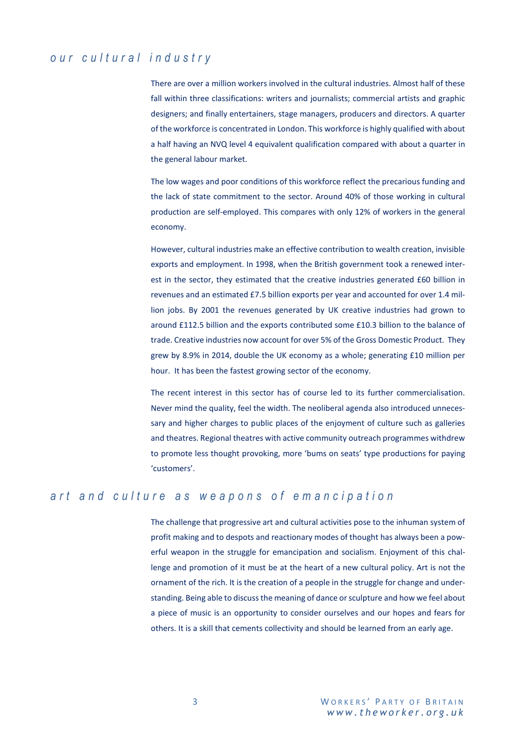## *our c u l t u r a l i n d u s t r y*

There are over a million workers involved in the cultural industries. Almost half of these fall within three classifications: writers and journalists; commercial artists and graphic designers; and finally entertainers, stage managers, producers and directors. A quarter of the workforce is concentrated in London. This workforce is highly qualified with about a half having an NVQ level 4 equivalent qualification compared with about a quarter in the general labour market.

The low wages and poor conditions of this workforce reflect the precarious funding and the lack of state commitment to the sector. Around 40% of those working in cultural production are self-employed. This compares with only 12% of workers in the general economy.

However, cultural industries make an effective contribution to wealth creation, invisible exports and employment. In 1998, when the British government took a renewed interest in the sector, they estimated that the creative industries generated £60 billion in revenues and an estimated £7.5 billion exports per year and accounted for over 1.4 million jobs. By 2001 the revenues generated by UK creative industries had grown to around £112.5 billion and the exports contributed some £10.3 billion to the balance of trade. Creative industries now account for over 5% of the Gross Domestic Product. They grew by 8.9% in 2014, double the UK economy as a whole; generating £10 million per hour. It has been the fastest growing sector of the economy.

The recent interest in this sector has of course led to its further commercialisation. Never mind the quality, feel the width. The neoliberal agenda also introduced unnecessary and higher charges to public places of the enjoyment of culture such as galleries and theatres. Regional theatres with active community outreach programmes withdrew to promote less thought provoking, more 'bums on seats' type productions for paying 'customers'.

## *a r t a n d c u l t u r e a s w e a p o n s o f e m a n c i p a t i o n*

The challenge that progressive art and cultural activities pose to the inhuman system of profit making and to despots and reactionary modes of thought has always been a powerful weapon in the struggle for emancipation and socialism. Enjoyment of this challenge and promotion of it must be at the heart of a new cultural policy. Art is not the ornament of the rich. It is the creation of a people in the struggle for change and understanding. Being able to discuss the meaning of dance or sculpture and how we feel about a piece of music is an opportunity to consider ourselves and our hopes and fears for others. It is a skill that cements collectivity and should be learned from an early age.